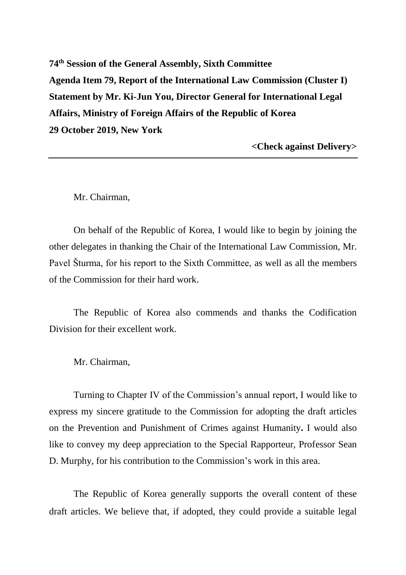**74th Session of the General Assembly, Sixth Committee Agenda Item 79, Report of the International Law Commission (Cluster I) Statement by Mr. Ki-Jun You, Director General for International Legal Affairs, Ministry of Foreign Affairs of the Republic of Korea 29 October 2019, New York**

**<Check against Delivery>**

Mr. Chairman,

On behalf of the Republic of Korea, I would like to begin by joining the other delegates in thanking the Chair of the International Law Commission, Mr. Pavel Šturma, for his report to the Sixth Committee, as well as all the members of the Commission for their hard work.

The Republic of Korea also commends and thanks the Codification Division for their excellent work.

Mr. Chairman,

Turning to Chapter IV of the Commission's annual report, I would like to express my sincere gratitude to the Commission for adopting the draft articles on the Prevention and Punishment of Crimes against Humanity**.** I would also like to convey my deep appreciation to the Special Rapporteur, Professor Sean D. Murphy, for his contribution to the Commission's work in this area.

The Republic of Korea generally supports the overall content of these draft articles. We believe that, if adopted, they could provide a suitable legal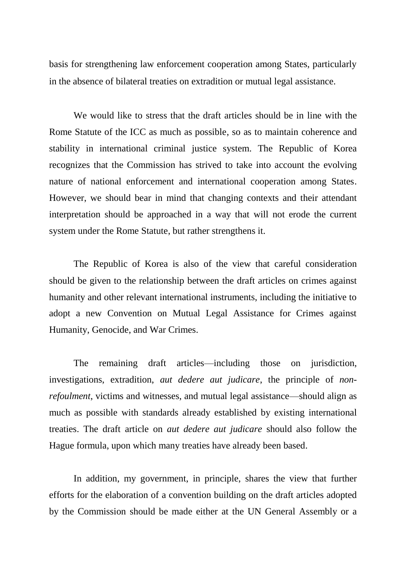basis for strengthening law enforcement cooperation among States, particularly in the absence of bilateral treaties on extradition or mutual legal assistance.

We would like to stress that the draft articles should be in line with the Rome Statute of the ICC as much as possible, so as to maintain coherence and stability in international criminal justice system. The Republic of Korea recognizes that the Commission has strived to take into account the evolving nature of national enforcement and international cooperation among States. However, we should bear in mind that changing contexts and their attendant interpretation should be approached in a way that will not erode the current system under the Rome Statute, but rather strengthens it.

The Republic of Korea is also of the view that careful consideration should be given to the relationship between the draft articles on crimes against humanity and other relevant international instruments, including the initiative to adopt a new Convention on Mutual Legal Assistance for Crimes against Humanity, Genocide, and War Crimes.

The remaining draft articles—including those on jurisdiction, investigations, extradition, *aut dedere aut judicare*, the principle of *nonrefoulment*, victims and witnesses, and mutual legal assistance—should align as much as possible with standards already established by existing international treaties. The draft article on *aut dedere aut judicare* should also follow the Hague formula, upon which many treaties have already been based.

In addition, my government, in principle, shares the view that further efforts for the elaboration of a convention building on the draft articles adopted by the Commission should be made either at the UN General Assembly or a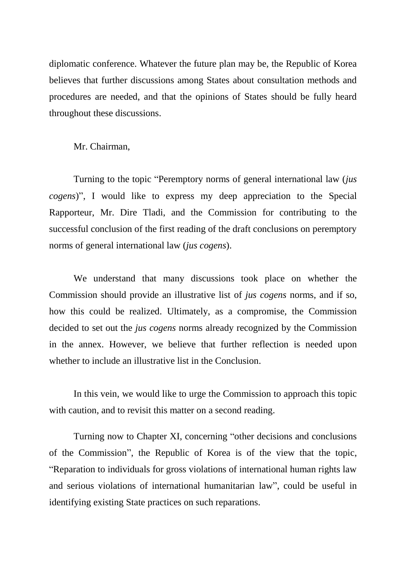diplomatic conference. Whatever the future plan may be, the Republic of Korea believes that further discussions among States about consultation methods and procedures are needed, and that the opinions of States should be fully heard throughout these discussions.

Mr. Chairman,

Turning to the topic "Peremptory norms of general international law (*jus cogens*)", I would like to express my deep appreciation to the Special Rapporteur, Mr. Dire Tladi, and the Commission for contributing to the successful conclusion of the first reading of the draft conclusions on peremptory norms of general international law (*jus cogens*).

We understand that many discussions took place on whether the Commission should provide an illustrative list of *jus cogens* norms, and if so, how this could be realized. Ultimately, as a compromise, the Commission decided to set out the *jus cogens* norms already recognized by the Commission in the annex. However, we believe that further reflection is needed upon whether to include an illustrative list in the Conclusion.

In this vein, we would like to urge the Commission to approach this topic with caution, and to revisit this matter on a second reading.

Turning now to Chapter XI, concerning "other decisions and conclusions of the Commission", the Republic of Korea is of the view that the topic, "Reparation to individuals for gross violations of international human rights law and serious violations of international humanitarian law", could be useful in identifying existing State practices on such reparations.